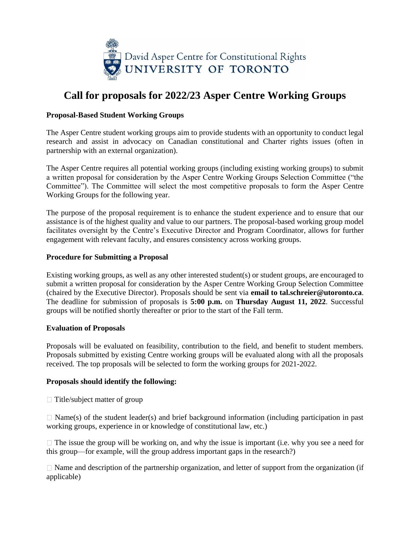

# **Call for proposals for 2022/23 Asper Centre Working Groups**

### **Proposal-Based Student Working Groups**

The Asper Centre student working groups aim to provide students with an opportunity to conduct legal research and assist in advocacy on Canadian constitutional and Charter rights issues (often in partnership with an external organization).

The Asper Centre requires all potential working groups (including existing working groups) to submit a written proposal for consideration by the Asper Centre Working Groups Selection Committee ("the Committee"). The Committee will select the most competitive proposals to form the Asper Centre Working Groups for the following year.

The purpose of the proposal requirement is to enhance the student experience and to ensure that our assistance is of the highest quality and value to our partners. The proposal-based working group model facilitates oversight by the Centre's Executive Director and Program Coordinator, allows for further engagement with relevant faculty, and ensures consistency across working groups.

#### **Procedure for Submitting a Proposal**

Existing working groups, as well as any other interested student(s) or student groups, are encouraged to submit a written proposal for consideration by the Asper Centre Working Group Selection Committee (chaired by the Executive Director). Proposals should be sent via **email to tal.schreier@utoronto.ca**. The deadline for submission of proposals is **5:00 p.m.** on **Thursday August 11, 2022**. Successful groups will be notified shortly thereafter or prior to the start of the Fall term.

#### **Evaluation of Proposals**

Proposals will be evaluated on feasibility, contribution to the field, and benefit to student members. Proposals submitted by existing Centre working groups will be evaluated along with all the proposals received. The top proposals will be selected to form the working groups for 2021-2022.

#### **Proposals should identify the following:**

 $\Box$  Title/subject matter of group

 $\Box$  Name(s) of the student leader(s) and brief background information (including participation in past working groups, experience in or knowledge of constitutional law, etc.)

 $\Box$  The issue the group will be working on, and why the issue is important (i.e. why you see a need for this group—for example, will the group address important gaps in the research?)

 $\Box$  Name and description of the partnership organization, and letter of support from the organization (if applicable)